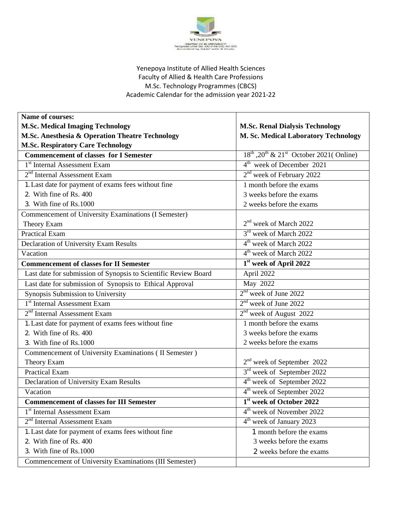

## Yenepoya Institute of Allied Health Sciences Faculty of Allied & Health Care Professions M.Sc. Technology Programmes (CBCS) Academic Calendar for the admission year 2021-22

| <b>Name of courses:</b>                                         |                                                         |
|-----------------------------------------------------------------|---------------------------------------------------------|
| <b>M.Sc. Medical Imaging Technology</b>                         | <b>M.Sc. Renal Dialysis Technology</b>                  |
| M.Sc. Anesthesia & Operation Theatre Technology                 | M. Sc. Medical Laboratory Technology                    |
| <b>M.Sc. Respiratory Care Technology</b>                        |                                                         |
| <b>Commencement of classes for I Semester</b>                   | $18^{th}$ , $20^{th}$ & $21^{st}$ October 2021( Online) |
| 1 <sup>st</sup> Internal Assessment Exam                        | 4 <sup>th</sup> week of December 2021                   |
| 2 <sup>nd</sup> Internal Assessment Exam                        | 2 <sup>nd</sup> week of February 2022                   |
| 1. Last date for payment of exams fees without fine             | 1 month before the exams                                |
| 2. With fine of Rs. 400                                         | 3 weeks before the exams                                |
| 3. With fine of Rs.1000                                         | 2 weeks before the exams                                |
| Commencement of University Examinations (I Semester)            |                                                         |
| Theory Exam                                                     | 2 <sup>nd</sup> week of March 2022                      |
| <b>Practical Exam</b>                                           | 3 <sup>rd</sup> week of March 2022                      |
| Declaration of University Exam Results                          | 4 <sup>th</sup> week of March 2022                      |
| Vacation                                                        | 4 <sup>th</sup> week of March 2022                      |
| <b>Commencement of classes for II Semester</b>                  | 1 <sup>st</sup> week of April 2022                      |
| Last date for submission of Synopsis to Scientific Review Board | April 2022                                              |
| Last date for submission of Synopsis to Ethical Approval        | May 2022                                                |
| Synopsis Submission to University                               | 2 <sup>nd</sup> week of June 2022                       |
| 1 <sup>st</sup> Internal Assessment Exam                        | $2nd$ week of June 2022                                 |
| $2nd$ Internal Assessment Exam                                  | 2 <sup>nd</sup> week of August 2022                     |
| 1. Last date for payment of exams fees without fine             | 1 month before the exams                                |
| 2. With fine of Rs. 400                                         | 3 weeks before the exams                                |
| 3. With fine of Rs.1000                                         | 2 weeks before the exams                                |
| Commencement of University Examinations (II Semester)           |                                                         |
| Theory Exam                                                     | $2nd$ week of September 2022                            |
| <b>Practical Exam</b>                                           | 3 <sup>rd</sup> week of September 2022                  |
| Declaration of University Exam Results                          | 4 <sup>th</sup> week of September 2022                  |
| Vacation                                                        | 4 <sup>th</sup> week of September 2022                  |
| <b>Commencement of classes for III Semester</b>                 | 1st week of October 2022                                |
| 1 <sup>st</sup> Internal Assessment Exam                        | 4 <sup>th</sup> week of November 2022                   |
| 2 <sup>nd</sup> Internal Assessment Exam                        | 4 <sup>th</sup> week of January 2023                    |
| 1. Last date for payment of exams fees without fine             | 1 month before the exams                                |
| 2. With fine of Rs. 400                                         | 3 weeks before the exams                                |
| 3. With fine of Rs.1000                                         | 2 weeks before the exams                                |
| Commencement of University Examinations (III Semester)          |                                                         |